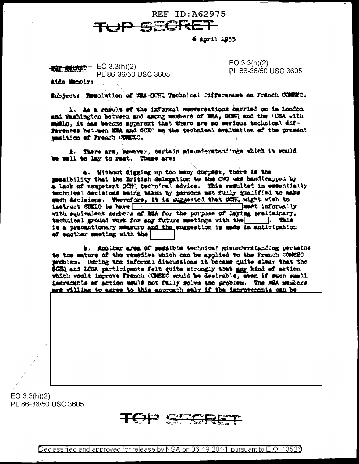

## 6 April 1955

 $-$  EO 3.3(h)(2) PL 86-36/50 USC 3605 Aide Manoirt

 $EO 3.3(h)(2)$ PL 86-36/50 USC 3605

Subject: Newolution of WiA-GORQ Technical Differences on French COMBEC.

1. As a result of the informal conversations barried on im London and Washington between and among members of MBA, GCEQ and the LCBA with sumio, it has become apparent that there are no serious technical diffurences between MRA and GCHO an the technical evaluation of the present manition of French COMERC.

#. There are, however, sertain misunierstandings which it would be well to lay to rest. These are:

a. Without digging up too many corpect, there is the massibility that the British delegation to the CWD was handlospped by a lack of competent COH) technical advice. This resulted in essentially technical decisions being taken by parsons met fully qualified to make such declaions. Therefore, it is suggested that OCHR might wish to instruct SUELO to have meet informally with squivalent members of MSA for the purpose of laying preliminary, technical ground work for any future meetings with the Tals. is a precentionary measure and the suggestion is made in anticipation of another meeting with the

b. Amother area of possible technical misunderstanding pertuins to the mature of the remedies which can be applied to the Franch COMBEC medics. Buring the informal discussions it became quite slear that the **GCHQ and LCGA participants felt quite strongly that any kind of action** which would improve Fremch COMEEC would be desirable, even if such small imeraments of action would not fully melve the problem. The NGA members are willing to agree to this approach ealy if the improvements can be

 $EO 3.3(h)(2)$ PL 86-36/50 USC 3605